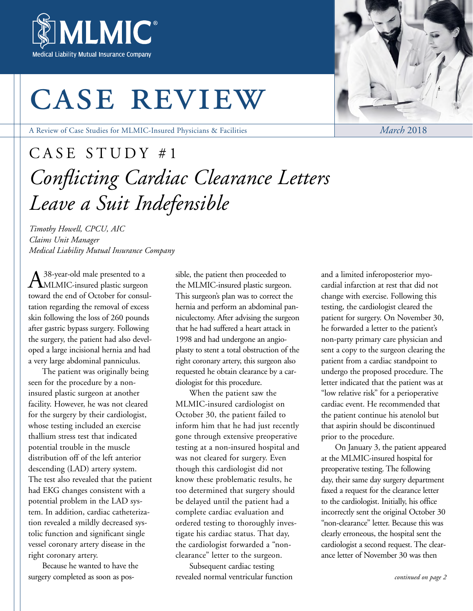

# case review

A Review of Case Studies for MLMIC-Insured Physicians & Facilities

# CASE STUDY #1 *Conflicting Cardiac Clearance Letters Leave a Suit Indefensible*

*Timothy Howell, CPCU, AIC Claims Unit Manager Medical Liability Mutual Insurance Company*

A<sup>38-year-old male presented to a MLMIC-insured plastic surgeon</sup> toward the end of October for consultation regarding the removal of excess skin following the loss of 260 pounds after gastric bypass surgery. Following the surgery, the patient had also developed a large incisional hernia and had a very large abdominal panniculus.

The patient was originally being seen for the procedure by a noninsured plastic surgeon at another facility. However, he was not cleared for the surgery by their cardiologist, whose testing included an exercise thallium stress test that indicated potential trouble in the muscle distribution off of the left anterior descending (LAD) artery system. The test also revealed that the patient had EKG changes consistent with a potential problem in the LAD system. In addition, cardiac catheterization revealed a mildly decreased systolic function and significant single vessel coronary artery disease in the right coronary artery.

Because he wanted to have the surgery completed as soon as possible, the patient then proceeded to the MLMIC-insured plastic surgeon. This surgeon's plan was to correct the hernia and perform an abdominal panniculectomy. After advising the surgeon that he had suffered a heart attack in 1998 and had undergone an angioplasty to stent a total obstruction of the right coronary artery, this surgeon also requested he obtain clearance by a cardiologist for this procedure.

When the patient saw the MLMIC-insured cardiologist on October 30, the patient failed to inform him that he had just recently gone through extensive preoperative testing at a non-insured hospital and was not cleared for surgery. Even though this cardiologist did not know these problematic results, he too determined that surgery should be delayed until the patient had a complete cardiac evaluation and ordered testing to thoroughly investigate his cardiac status. That day, the cardiologist forwarded a "nonclearance" letter to the surgeon.

Subsequent cardiac testing revealed normal ventricular function and a limited inferoposterior myocardial infarction at rest that did not change with exercise. Following this testing, the cardiologist cleared the patient for surgery. On November 30, he forwarded a letter to the patient's non-party primary care physician and sent a copy to the surgeon clearing the patient from a cardiac standpoint to undergo the proposed procedure. The letter indicated that the patient was at "low relative risk" for a perioperative cardiac event. He recommended that the patient continue his atenolol but that aspirin should be discontinued prior to the procedure.

On January 3, the patient appeared at the MLMIC-insured hospital for preoperative testing. The following day, their same day surgery department faxed a request for the clearance letter to the cardiologist. Initially, his office incorrectly sent the original October 30 "non-clearance" letter. Because this was clearly erroneous, the hospital sent the cardiologist a second request. The clearance letter of November 30 was then



*March* 2018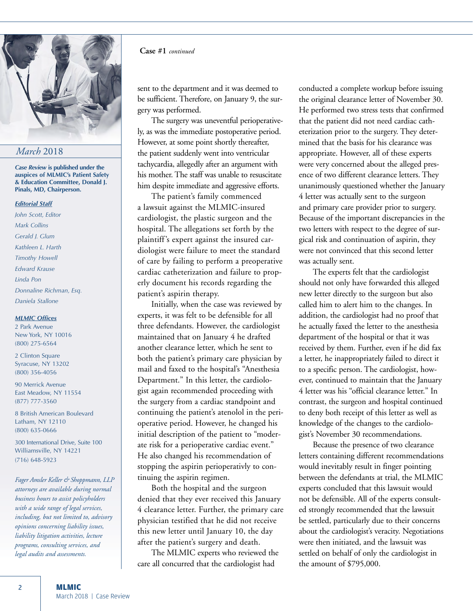

### *March* 2018

*Case Review* **is published under the auspices of MLMIC's Patient Safety & Education Committee, Donald J. Pinals, MD, Chairperson.** 

#### *Editorial Staff*

*John Scott, Editor Mark Collins Gerald J. Glum Kathleen L. Harth Timothy Howell Edward Krause Linda Pon Donnaline Richman, Esq. Daniela Stallone*

### *MLMIC Offices*

2 Park Avenue New York, NY 10016 (800) 275-6564

2 Clinton Square Syracuse, NY 13202 (800) 356-4056

90 Merrick Avenue East Meadow, NY 11554 (877) 777-3560

8 British American Boulevard Latham, NY 12110 (800) 635-0666

300 International Drive, Suite 100 Williamsville, NY 14221 (716) 648-5923

*Fager Amsler Keller & Shoppmann, LLP attorneys are available during normal business hours to assist policyholders with a wide range of legal services, including, but not limited to, advisory opinions concerning liability issues, liability litigation activities, lecture programs, consulting services, and legal audits and assessments.* 

### **Case #1** *continued*

sent to the department and it was deemed to be sufficient. Therefore, on January 9, the surgery was performed.

The surgery was uneventful perioperatively, as was the immediate postoperative period. However, at some point shortly thereafter, the patient suddenly went into ventricular tachycardia, allegedly after an argument with his mother. The staff was unable to resuscitate him despite immediate and aggressive efforts.

The patient's family commenced a lawsuit against the MLMIC-insured cardiologist, the plastic surgeon and the hospital. The allegations set forth by the plaintiff's expert against the insured cardiologist were failure to meet the standard of care by failing to perform a preoperative cardiac catheterization and failure to properly document his records regarding the patient's aspirin therapy.

Initially, when the case was reviewed by experts, it was felt to be defensible for all three defendants. However, the cardiologist maintained that on January 4 he drafted another clearance letter, which he sent to both the patient's primary care physician by mail and faxed to the hospital's "Anesthesia Department." In this letter, the cardiologist again recommended proceeding with the surgery from a cardiac standpoint and continuing the patient's atenolol in the perioperative period. However, he changed his initial description of the patient to "moderate risk for a perioperative cardiac event." He also changed his recommendation of stopping the aspirin perioperativly to continuing the aspirin regimen.

Both the hospital and the surgeon denied that they ever received this January 4 clearance letter. Further, the primary care physician testified that he did not receive this new letter until January 10, the day after the patient's surgery and death.

The MLMIC experts who reviewed the care all concurred that the cardiologist had

conducted a complete workup before issuing the original clearance letter of November 30. He performed two stress tests that confirmed that the patient did not need cardiac catheterization prior to the surgery. They determined that the basis for his clearance was appropriate. However, all of these experts were very concerned about the alleged presence of two different clearance letters. They unanimously questioned whether the January 4 letter was actually sent to the surgeon and primary care provider prior to surgery. Because of the important discrepancies in the two letters with respect to the degree of surgical risk and continuation of aspirin, they were not convinced that this second letter was actually sent.

The experts felt that the cardiologist should not only have forwarded this alleged new letter directly to the surgeon but also called him to alert him to the changes. In addition, the cardiologist had no proof that he actually faxed the letter to the anesthesia department of the hospital or that it was received by them. Further, even if he did fax a letter, he inappropriately failed to direct it to a specific person. The cardiologist, however, continued to maintain that the January 4 letter was his "official clearance letter." In contrast, the surgeon and hospital continued to deny both receipt of this letter as well as knowledge of the changes to the cardiologist's November 30 recommendations.

Because the presence of two clearance letters containing different recommendations would inevitably result in finger pointing between the defendants at trial, the MLMIC experts concluded that this lawsuit would not be defensible. All of the experts consulted strongly recommended that the lawsuit be settled, particularly due to their concerns about the cardiologist's veracity. Negotiations were then initiated, and the lawsuit was settled on behalf of only the cardiologist in the amount of \$795,000.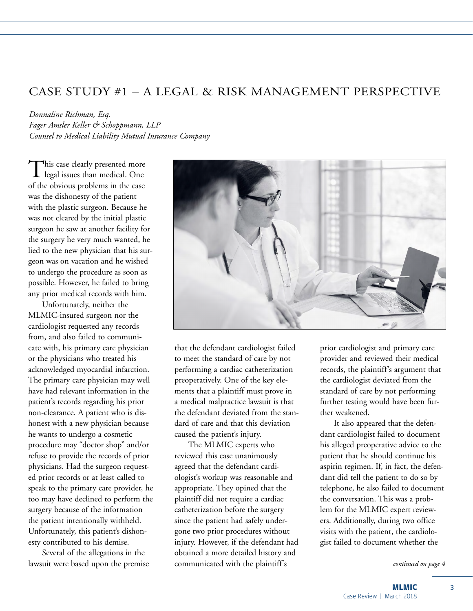# CASE STUDY #1 – A LEGAL & RISK MANAGEMENT PERSPECTIVE

*Donnaline Richman, Esq. Fager Amsler Keller & Schoppmann, LLP Counsel to Medical Liability Mutual Insurance Company*

This case clearly presented more<br>legal issues than medical. One of the obvious problems in the case was the dishonesty of the patient with the plastic surgeon. Because he was not cleared by the initial plastic surgeon he saw at another facility for the surgery he very much wanted, he lied to the new physician that his surgeon was on vacation and he wished to undergo the procedure as soon as possible. However, he failed to bring any prior medical records with him.

Unfortunately, neither the MLMIC-insured surgeon nor the cardiologist requested any records from, and also failed to communicate with, his primary care physician or the physicians who treated his acknowledged myocardial infarction. The primary care physician may well have had relevant information in the patient's records regarding his prior non-clearance. A patient who is dishonest with a new physician because he wants to undergo a cosmetic procedure may "doctor shop" and/or refuse to provide the records of prior physicians. Had the surgeon requested prior records or at least called to speak to the primary care provider, he too may have declined to perform the surgery because of the information the patient intentionally withheld. Unfortunately, this patient's dishonesty contributed to his demise.

Several of the allegations in the lawsuit were based upon the premise



that the defendant cardiologist failed to meet the standard of care by not performing a cardiac catheterization preoperatively. One of the key elements that a plaintiff must prove in a medical malpractice lawsuit is that the defendant deviated from the standard of care and that this deviation caused the patient's injury.

The MLMIC experts who reviewed this case unanimously agreed that the defendant cardiologist's workup was reasonable and appropriate. They opined that the plaintiff did not require a cardiac catheterization before the surgery since the patient had safely undergone two prior procedures without injury. However, if the defendant had obtained a more detailed history and communicated with the plaintiff's

prior cardiologist and primary care provider and reviewed their medical records, the plaintiff's argument that the cardiologist deviated from the standard of care by not performing further testing would have been further weakened.

It also appeared that the defendant cardiologist failed to document his alleged preoperative advice to the patient that he should continue his aspirin regimen. If, in fact, the defendant did tell the patient to do so by telephone, he also failed to document the conversation. This was a problem for the MLMIC expert reviewers. Additionally, during two office visits with the patient, the cardiologist failed to document whether the

*continued on page 4*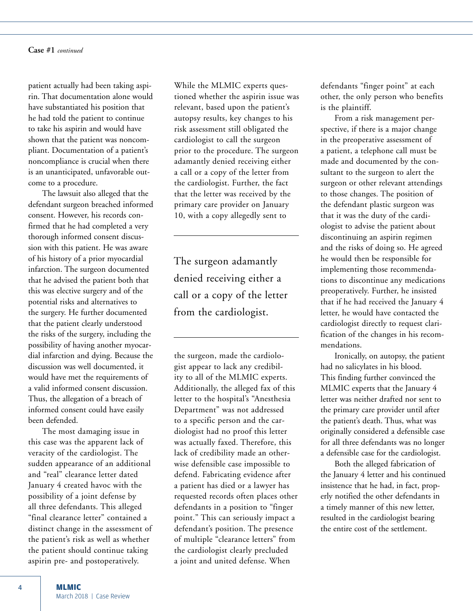**Case #1** *continued*

patient actually had been taking aspirin. That documentation alone would have substantiated his position that he had told the patient to continue to take his aspirin and would have shown that the patient was noncompliant. Documentation of a patient's noncompliance is crucial when there is an unanticipated, unfavorable outcome to a procedure.

The lawsuit also alleged that the defendant surgeon breached informed consent. However, his records confirmed that he had completed a very thorough informed consent discussion with this patient. He was aware of his history of a prior myocardial infarction. The surgeon documented that he advised the patient both that this was elective surgery and of the potential risks and alternatives to the surgery. He further documented that the patient clearly understood the risks of the surgery, including the possibility of having another myocardial infarction and dying. Because the discussion was well documented, it would have met the requirements of a valid informed consent discussion. Thus, the allegation of a breach of informed consent could have easily been defended.

The most damaging issue in this case was the apparent lack of veracity of the cardiologist. The sudden appearance of an additional and "real" clearance letter dated January 4 created havoc with the possibility of a joint defense by all three defendants. This alleged "final clearance letter" contained a distinct change in the assessment of the patient's risk as well as whether the patient should continue taking aspirin pre- and postoperatively.

While the MLMIC experts questioned whether the aspirin issue was relevant, based upon the patient's autopsy results, key changes to his risk assessment still obligated the cardiologist to call the surgeon prior to the procedure. The surgeon adamantly denied receiving either a call or a copy of the letter from the cardiologist. Further, the fact that the letter was received by the primary care provider on January 10, with a copy allegedly sent to

The surgeon adamantly denied receiving either a call or a copy of the letter from the cardiologist.

the surgeon, made the cardiologist appear to lack any credibility to all of the MLMIC experts. Additionally, the alleged fax of this letter to the hospital's "Anesthesia Department" was not addressed to a specific person and the cardiologist had no proof this letter was actually faxed. Therefore, this lack of credibility made an otherwise defensible case impossible to defend. Fabricating evidence after a patient has died or a lawyer has requested records often places other defendants in a position to "finger point." This can seriously impact a defendant's position. The presence of multiple "clearance letters" from the cardiologist clearly precluded a joint and united defense. When

defendants "finger point" at each other, the only person who benefits is the plaintiff.

From a risk management perspective, if there is a major change in the preoperative assessment of a patient, a telephone call must be made and documented by the consultant to the surgeon to alert the surgeon or other relevant attendings to those changes. The position of the defendant plastic surgeon was that it was the duty of the cardiologist to advise the patient about discontinuing an aspirin regimen and the risks of doing so. He agreed he would then be responsible for implementing those recommendations to discontinue any medications preoperatively. Further, he insisted that if he had received the January 4 letter, he would have contacted the cardiologist directly to request clarification of the changes in his recommendations.

Ironically, on autopsy, the patient had no salicylates in his blood. This finding further convinced the MLMIC experts that the January 4 letter was neither drafted nor sent to the primary care provider until after the patient's death. Thus, what was originally considered a defensible case for all three defendants was no longer a defensible case for the cardiologist.

Both the alleged fabrication of the January 4 letter and his continued insistence that he had, in fact, properly notified the other defendants in a timely manner of this new letter, resulted in the cardiologist bearing the entire cost of the settlement.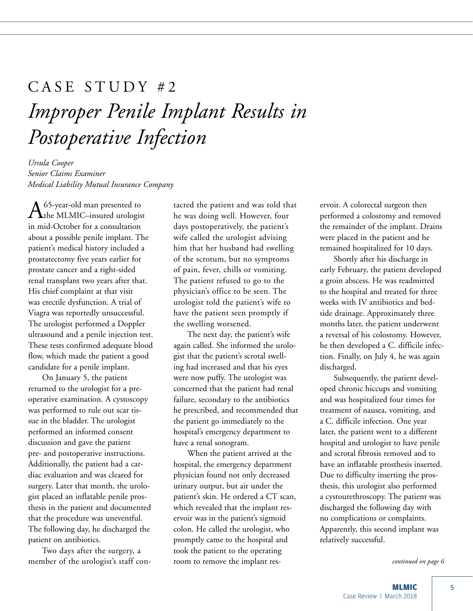# CASE STUDY #2 *Improper Penile Implant Results in Postoperative Infection*

*Ursula Cooper Senior Claims Examiner Medical Liability Mutual Insurance Company*

 $A<sup>65</sup>$ -year-old man presented to<br>the MLMIC–insured urologist in mid-October for a consultation about a possible penile implant. The patient's medical history included a prostatectomy five years earlier for prostate cancer and a right-sided renal transplant two years after that. His chief complaint at that visit was erectile dysfunction. A trial of Viagra was reportedly unsuccessful. The urologist performed a Doppler ultrasound and a penile injection test. These tests confirmed adequate blood flow, which made the patient a good candidate for a penile implant.

On January 5, the patient returned to the urologist for a preoperative examination. A cystoscopy was performed to rule out scar tissue in the bladder. The urologist performed an informed consent discussion and gave the patient pre- and postoperative instructions. Additionally, the patient had a cardiac evaluation and was cleared for surgery. Later that month, the urologist placed an inflatable penile prosthesis in the patient and documented that the procedure was uneventful. The following day, he discharged the patient on antibiotics.

Two days after the surgery, a member of the urologist's staff contacted the patient and was told that he was doing well. However, four days postoperatively, the patient's wife called the urologist advising him that her husband had swelling of the scrotum, but no symptoms of pain, fever, chills or vomiting. The patient refused to go to the physician's office to be seen. The urologist told the patient's wife to have the patient seen promptly if the swelling worsened.

The next day, the patient's wife again called. She informed the urologist that the patient's scrotal swelling had increased and that his eyes were now puffy. The urologist was concerned that the patient had renal failure, secondary to the antibiotics he prescribed, and recommended that the patient go immediately to the hospital's emergency department to have a renal sonogram.

When the patient arrived at the hospital, the emergency department physician found not only decreased urinary output, but air under the patient's skin. He ordered a CT scan, which revealed that the implant reservoir was in the patient's sigmoid colon. He called the urologist, who promptly came to the hospital and took the patient to the operating room to remove the implant reservoir. A colorectal surgeon then performed a colostomy and removed the remainder of the implant. Drains were placed in the patient and he remained hospitalized for 10 days.

Shortly after his discharge in early February, the patient developed a groin abscess. He was readmitted to the hospital and treated for three weeks with IV antibiotics and bedside drainage. Approximately three months later, the patient underwent a reversal of his colostomy. However, he then developed a C. difficile infection. Finally, on July 4, he was again discharged.

Subsequently, the patient developed chronic hiccups and vomiting and was hospitalized four times for treatment of nausea, vomiting, and a C. difficile infection. One year later, the patient went to a different hospital and urologist to have penile and scrotal fibrosis removed and to have an inflatable prosthesis inserted. Due to difficulty inserting the prosthesis, this urologist also performed a cystourethroscopy. The patient was discharged the following day with no complications or complaints. Apparently, this second implant was relatively successful.

*continued on page 6*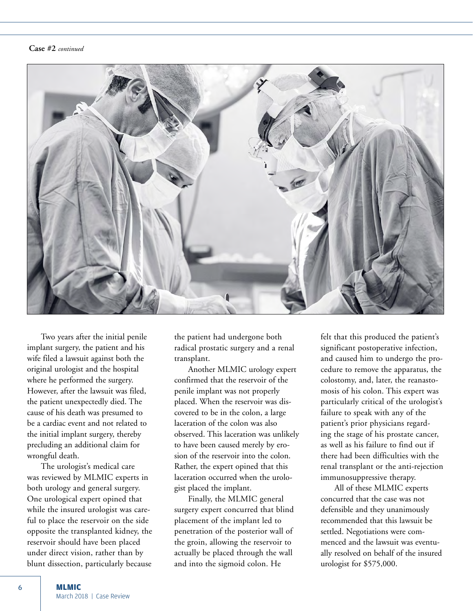#### **Case #2** *continued*



Two years after the initial penile implant surgery, the patient and his wife filed a lawsuit against both the original urologist and the hospital where he performed the surgery. However, after the lawsuit was filed, the patient unexpectedly died. The cause of his death was presumed to be a cardiac event and not related to the initial implant surgery, thereby precluding an additional claim for wrongful death.

The urologist's medical care was reviewed by MLMIC experts in both urology and general surgery. One urological expert opined that while the insured urologist was careful to place the reservoir on the side opposite the transplanted kidney, the reservoir should have been placed under direct vision, rather than by blunt dissection, particularly because

the patient had undergone both radical prostatic surgery and a renal transplant.

Another MLMIC urology expert confirmed that the reservoir of the penile implant was not properly placed. When the reservoir was discovered to be in the colon, a large laceration of the colon was also observed. This laceration was unlikely to have been caused merely by erosion of the reservoir into the colon. Rather, the expert opined that this laceration occurred when the urologist placed the implant.

Finally, the MLMIC general surgery expert concurred that blind placement of the implant led to penetration of the posterior wall of the groin, allowing the reservoir to actually be placed through the wall and into the sigmoid colon. He

felt that this produced the patient's significant postoperative infection, and caused him to undergo the procedure to remove the apparatus, the colostomy, and, later, the reanastomosis of his colon. This expert was particularly critical of the urologist's failure to speak with any of the patient's prior physicians regarding the stage of his prostate cancer, as well as his failure to find out if there had been difficulties with the renal transplant or the anti-rejection immunosuppressive therapy.

All of these MLMIC experts concurred that the case was not defensible and they unanimously recommended that this lawsuit be settled. Negotiations were commenced and the lawsuit was eventually resolved on behalf of the insured urologist for \$575,000.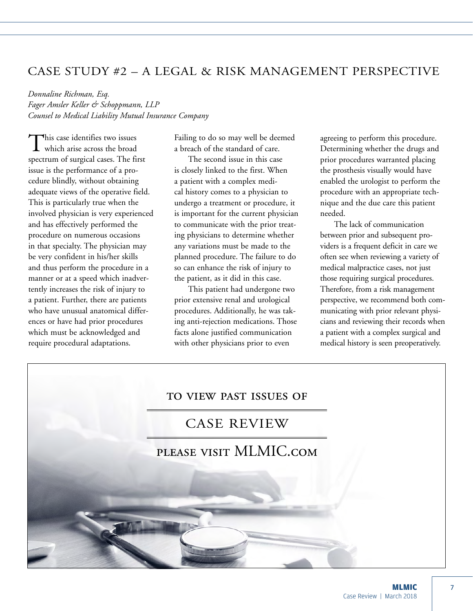# CASE STUDY #2 – A LEGAL & RISK MANAGEMENT PERSPECTIVE

*Donnaline Richman, Esq. Fager Amsler Keller & Schoppmann, LLP Counsel to Medical Liability Mutual Insurance Company*

This case identifies two issues<br>which arise across the broad spectrum of surgical cases. The first issue is the performance of a procedure blindly, without obtaining adequate views of the operative field. This is particularly true when the involved physician is very experienced and has effectively performed the procedure on numerous occasions in that specialty. The physician may be very confident in his/her skills and thus perform the procedure in a manner or at a speed which inadvertently increases the risk of injury to a patient. Further, there are patients who have unusual anatomical differences or have had prior procedures which must be acknowledged and require procedural adaptations.

Failing to do so may well be deemed a breach of the standard of care.

The second issue in this case is closely linked to the first. When a patient with a complex medical history comes to a physician to undergo a treatment or procedure, it is important for the current physician to communicate with the prior treating physicians to determine whether any variations must be made to the planned procedure. The failure to do so can enhance the risk of injury to the patient, as it did in this case.

This patient had undergone two prior extensive renal and urological procedures. Additionally, he was taking anti-rejection medications. Those facts alone justified communication with other physicians prior to even

agreeing to perform this procedure. Determining whether the drugs and prior procedures warranted placing the prosthesis visually would have enabled the urologist to perform the procedure with an appropriate technique and the due care this patient needed.

The lack of communication between prior and subsequent providers is a frequent deficit in care we often see when reviewing a variety of medical malpractice cases, not just those requiring surgical procedures. Therefore, from a risk management perspective, we recommend both communicating with prior relevant physicians and reviewing their records when a patient with a complex surgical and medical history is seen preoperatively.